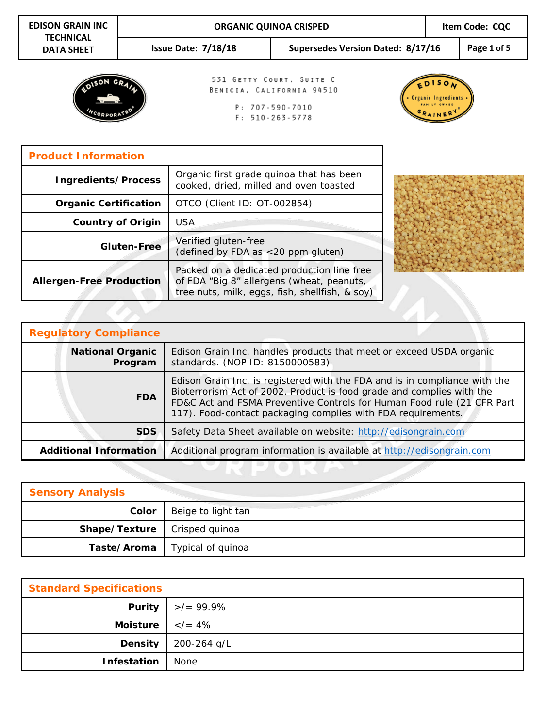| <b>EDISON GRAIN INC</b>               |                                                                                  | <b>ORGANIC QUINOA CRISPED</b>                                                      |                                                                                                         |  | Item Code: CQC |             |
|---------------------------------------|----------------------------------------------------------------------------------|------------------------------------------------------------------------------------|---------------------------------------------------------------------------------------------------------|--|----------------|-------------|
| <b>TECHNICAL</b><br><b>DATA SHEET</b> |                                                                                  | Issue Date: $7/18/18$                                                              | Supersedes Version Dated: 8/17/16                                                                       |  |                | Page 1 of 5 |
|                                       |                                                                                  |                                                                                    | 531 GETTY COURT, SUITE C<br>BENICIA, CALIFORNIA 94510<br>$P: 707 - 590 - 7010$<br>$F: 510 - 263 - 5778$ |  |                |             |
| <b>Product Information</b>            |                                                                                  |                                                                                    |                                                                                                         |  |                |             |
| Ingredients/Process                   |                                                                                  | Organic first grade quinoa that has been<br>cooked, dried, milled and oven toasted |                                                                                                         |  |                |             |
| <b>Organic Certification</b>          |                                                                                  | OTCO (Client ID: OT-002854)                                                        |                                                                                                         |  |                |             |
|                                       | <b>Country of Origin</b>                                                         | <b>USA</b>                                                                         |                                                                                                         |  |                |             |
|                                       | Verified gluten-free<br><b>Gluten-Free</b><br>(defined by FDA as <20 ppm gluten) |                                                                                    |                                                                                                         |  |                |             |
| <b>Allergen-Free Production</b>       |                                                                                  |                                                                                    | Packed on a dedicated production line free<br>of FDA "Big 8" allergens (wheat, peanuts,                 |  |                |             |

| <b>Regulatory Compliance</b>                                                                                                                 |                                                                                                                                                                                                                                                                                               |  |  |  |
|----------------------------------------------------------------------------------------------------------------------------------------------|-----------------------------------------------------------------------------------------------------------------------------------------------------------------------------------------------------------------------------------------------------------------------------------------------|--|--|--|
| <b>National Organic</b><br>Edison Grain Inc. handles products that meet or exceed USDA organic<br>standards. (NOP ID: 8150000583)<br>Program |                                                                                                                                                                                                                                                                                               |  |  |  |
| <b>FDA</b>                                                                                                                                   | Edison Grain Inc. is registered with the FDA and is in compliance with the<br>Bioterrorism Act of 2002. Product is food grade and complies with the<br>FD&C Act and FSMA Preventive Controls for Human Food rule (21 CFR Part<br>117). Food-contact packaging complies with FDA requirements. |  |  |  |
| <b>SDS</b><br>Safety Data Sheet available on website: http://edisongrain.com                                                                 |                                                                                                                                                                                                                                                                                               |  |  |  |
| <b>Additional Information</b>                                                                                                                | Additional program information is available at http://edisongrain.com                                                                                                                                                                                                                         |  |  |  |

tree nuts, milk, eggs, fish, shellfish, & soy)

| <b>Sensory Analysis</b>               |                    |
|---------------------------------------|--------------------|
| Color                                 | Beige to light tan |
| <b>Shape/Texture</b>   Crisped quinoa |                    |
| Taste/Aroma                           | Typical of quinoa  |

| <b>Standard Specifications</b>         |                                |  |  |
|----------------------------------------|--------------------------------|--|--|
|                                        | <b>Purity</b> $  > / = 99.9\%$ |  |  |
| Moisture $\vert \langle \rangle = 4\%$ |                                |  |  |
| Density                                | 200-264 g/L                    |  |  |
| <b>Infestation</b>                     | None                           |  |  |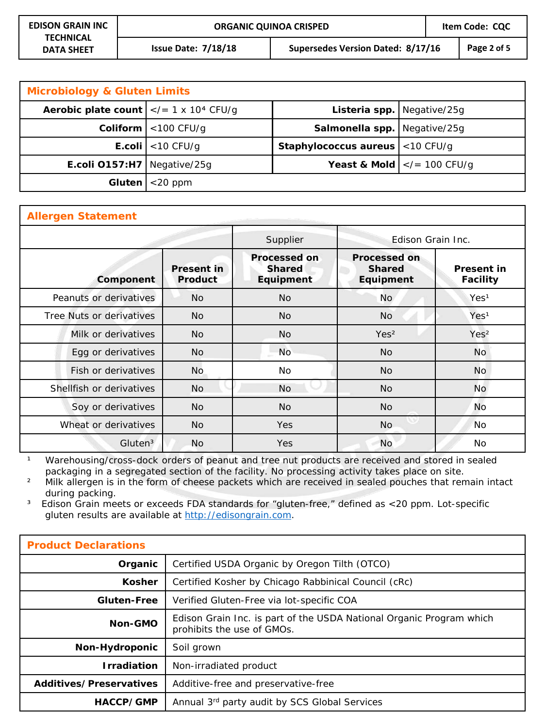| <b>Microbiology &amp; Gluten Limits</b>                          |                                 |                                             |                                                 |  |  |
|------------------------------------------------------------------|---------------------------------|---------------------------------------------|-------------------------------------------------|--|--|
| <b>Aerobic plate count</b> $  \lt  -1 \times 10^4 \text{ CFU/g}$ |                                 |                                             | Listeria spp.   Negative/25g                    |  |  |
|                                                                  | <b>Coliform</b> $ $ < 100 CFU/g | <b>Salmonella spp.</b> Negative/25g         |                                                 |  |  |
|                                                                  | <b>E.coli</b> $ $ < 10 CFU/g    | <b>Staphylococcus aureus</b> $ $ < 10 CFU/g |                                                 |  |  |
| <b>E.coli O157:H7</b>   Negative/25g                             |                                 |                                             | <b>Yeast &amp; Mold</b> $\vert$ = 100 CFU/g</th |  |  |
| Gluten                                                           | $<$ 20 ppm                      |                                             |                                                 |  |  |

| <b>Allergen Statement</b> |                              |                                                   |                                                   |                                      |  |
|---------------------------|------------------------------|---------------------------------------------------|---------------------------------------------------|--------------------------------------|--|
|                           |                              | Supplier                                          | Edison Grain Inc.                                 |                                      |  |
| Component                 | <b>Present in</b><br>Product | <b>Processed on</b><br><b>Shared</b><br>Equipment | <b>Processed on</b><br><b>Shared</b><br>Equipment | <b>Present in</b><br><b>Facility</b> |  |
| Peanuts or derivatives    | <b>No</b>                    | <b>No</b>                                         | <b>No</b>                                         | Yes <sup>1</sup>                     |  |
| Tree Nuts or derivatives  | <b>No</b>                    | <b>No</b>                                         | <b>No</b>                                         | Yes <sup>1</sup>                     |  |
| Milk or derivatives       | <b>No</b>                    | No                                                | Yes <sup>2</sup>                                  | Yes <sup>2</sup>                     |  |
| Egg or derivatives        | <b>No</b>                    | <b>No</b>                                         | <b>No</b>                                         | <b>No</b>                            |  |
| Fish or derivatives       | <b>No</b>                    | No.                                               | No.                                               | <b>No</b>                            |  |
| Shellfish or derivatives  | <b>No</b>                    | <b>No</b>                                         | <b>No</b>                                         | <b>No</b>                            |  |
| Soy or derivatives        | <b>No</b>                    | <b>No</b>                                         | <b>No</b>                                         | <b>No</b>                            |  |
| Wheat or derivatives      | N <sub>o</sub>               | <b>Yes</b>                                        | <b>No</b>                                         | 'No                                  |  |
| Gluten <sup>3</sup>       | <b>No</b>                    | <b>Yes</b>                                        | <b>No</b>                                         | <b>No</b>                            |  |

<sup>1</sup> Warehousing/cross-dock orders of peanut and tree nut products are received and stored in sealed packaging in a segregated section of the facility. No processing activity takes place on site.

<sup>2</sup> Milk allergen is in the form of cheese packets which are received in sealed pouches that remain intact during packing.

<sup>3</sup> Edison Grain meets or exceeds FDA standards for "gluten-free," defined as <20 ppm. Lot-specific gluten results are available at [http://edisongrain.com](http://edisongrain.com/products/).

| <b>Product Declarations</b>    |                                                                                                    |
|--------------------------------|----------------------------------------------------------------------------------------------------|
| Organic                        | Certified USDA Organic by Oregon Tilth (OTCO)                                                      |
| <b>Kosher</b>                  | Certified Kosher by Chicago Rabbinical Council (cRc)                                               |
| <b>Gluten-Free</b>             | Verified Gluten-Free via lot-specific COA                                                          |
| Non-GMO                        | Edison Grain Inc. is part of the USDA National Organic Program which<br>prohibits the use of GMOs. |
| Non-Hydroponic                 | Soil grown                                                                                         |
| <b>Irradiation</b>             | Non-irradiated product                                                                             |
| <b>Additives/Preservatives</b> | Additive-free and preservative-free                                                                |
| HACCP/GMP                      | Annual 3rd party audit by SCS Global Services                                                      |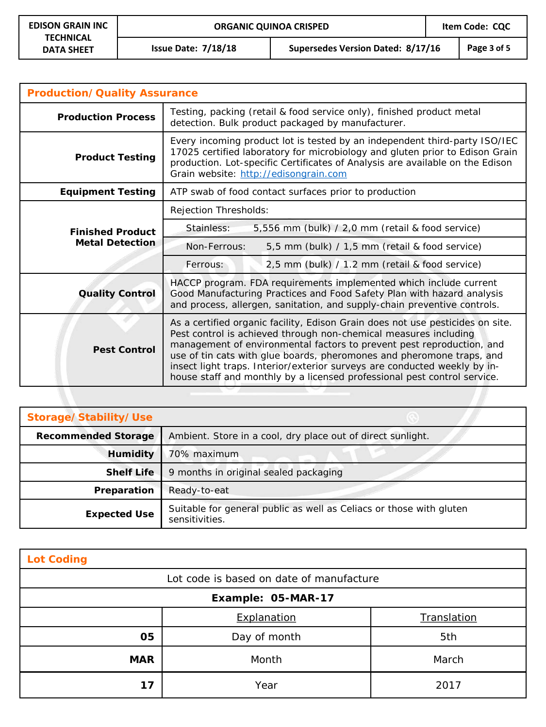**Issue Date: 7/18/18 Supersedes Version Dated: 8/17/16 Page 3 of 5**

| <b>Production/Quality Assurance</b> |                                                                                                                                                                                                                                                                                                                                                                                                                                                               |  |  |  |
|-------------------------------------|---------------------------------------------------------------------------------------------------------------------------------------------------------------------------------------------------------------------------------------------------------------------------------------------------------------------------------------------------------------------------------------------------------------------------------------------------------------|--|--|--|
| <b>Production Process</b>           | Testing, packing (retail & food service only), finished product metal<br>detection. Bulk product packaged by manufacturer.                                                                                                                                                                                                                                                                                                                                    |  |  |  |
| <b>Product Testing</b>              | Every incoming product lot is tested by an independent third-party ISO/IEC<br>17025 certified laboratory for microbiology and gluten prior to Edison Grain<br>production. Lot-specific Certificates of Analysis are available on the Edison<br>Grain website: http://edisongrain.com                                                                                                                                                                          |  |  |  |
| <b>Equipment Testing</b>            | ATP swab of food contact surfaces prior to production                                                                                                                                                                                                                                                                                                                                                                                                         |  |  |  |
|                                     | Rejection Thresholds:                                                                                                                                                                                                                                                                                                                                                                                                                                         |  |  |  |
| <b>Finished Product</b>             | Stainless:<br>5,556 mm (bulk) / 2,0 mm (retail & food service)                                                                                                                                                                                                                                                                                                                                                                                                |  |  |  |
| <b>Metal Detection</b>              | Non-Ferrous:<br>5,5 mm (bulk) / 1,5 mm (retail & food service)                                                                                                                                                                                                                                                                                                                                                                                                |  |  |  |
|                                     | 2,5 mm (bulk) / 1.2 mm (retail & food service)<br>Ferrous:                                                                                                                                                                                                                                                                                                                                                                                                    |  |  |  |
| <b>Quality Control</b>              | HACCP program. FDA requirements implemented which include current<br>Good Manufacturing Practices and Food Safety Plan with hazard analysis<br>and process, allergen, sanitation, and supply-chain preventive controls.                                                                                                                                                                                                                                       |  |  |  |
| <b>Pest Control</b>                 | As a certified organic facility, Edison Grain does not use pesticides on site.<br>Pest control is achieved through non-chemical measures including<br>management of environmental factors to prevent pest reproduction, and<br>use of tin cats with glue boards, pheromones and pheromone traps, and<br>insect light traps. Interior/exterior surveys are conducted weekly by in-<br>house staff and monthly by a licensed professional pest control service. |  |  |  |

| Storage/Stability/Use                                                                     |                                                                                       |
|-------------------------------------------------------------------------------------------|---------------------------------------------------------------------------------------|
| <b>Recommended Storage</b><br>Ambient. Store in a cool, dry place out of direct sunlight. |                                                                                       |
| <b>Humidity</b><br>70% maximum                                                            |                                                                                       |
| 9 months in original sealed packaging<br><b>Shelf Life</b>                                |                                                                                       |
| Preparation<br>Ready-to-eat                                                               |                                                                                       |
| <b>Expected Use</b>                                                                       | Suitable for general public as well as Celiacs or those with gluten<br>sensitivities. |

| <b>Lot Coding</b> |                                          |             |  |  |  |  |
|-------------------|------------------------------------------|-------------|--|--|--|--|
|                   | Lot code is based on date of manufacture |             |  |  |  |  |
|                   | Example: 05-MAR-17                       |             |  |  |  |  |
|                   | Explanation                              | Translation |  |  |  |  |
| 05                | Day of month                             | 5th         |  |  |  |  |
| <b>MAR</b>        | Month                                    | March       |  |  |  |  |
| 17                | Year                                     | 2017        |  |  |  |  |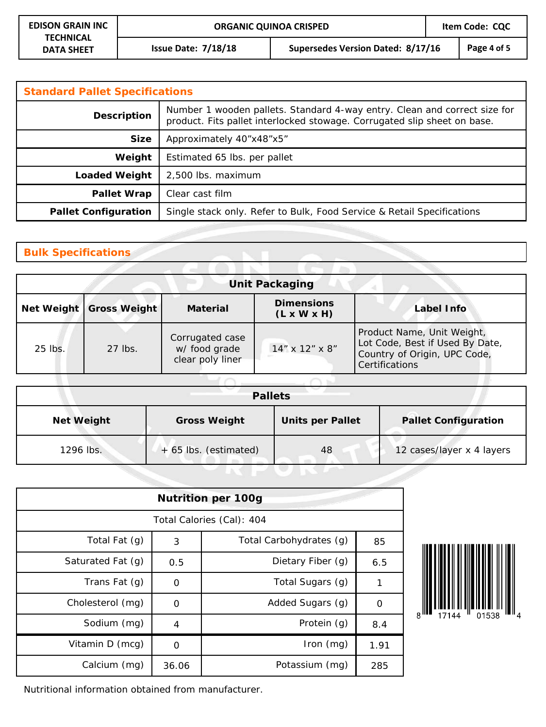**Issue Date: 7/18/18 Supersedes Version Dated: 8/17/16 Page 4 of 5**

| <b>Standard Pallet Specifications</b>      |                                                                                                                                                       |  |  |
|--------------------------------------------|-------------------------------------------------------------------------------------------------------------------------------------------------------|--|--|
| <b>Description</b>                         | Number 1 wooden pallets. Standard 4-way entry. Clean and correct size for<br>product. Fits pallet interlocked stowage. Corrugated slip sheet on base. |  |  |
| <b>Size</b>                                | Approximately 40"x48"x5"                                                                                                                              |  |  |
| Weight<br>Estimated 65 lbs. per pallet     |                                                                                                                                                       |  |  |
| <b>Loaded Weight</b><br>2,500 lbs. maximum |                                                                                                                                                       |  |  |
| <b>Pallet Wrap</b>                         | Clear cast film                                                                                                                                       |  |  |
| <b>Pallet Configuration</b>                | Single stack only. Refer to Bulk, Food Service & Retail Specifications                                                                                |  |  |

## **Bulk Specifications**

| <b>Unit Packaging</b> |                           |                                                      |                                              |                                                                                                                 |  |  |
|-----------------------|---------------------------|------------------------------------------------------|----------------------------------------------|-----------------------------------------------------------------------------------------------------------------|--|--|
|                       | Net Weight   Gross Weight | <b>Material</b>                                      | <b>Dimensions</b><br>$(L \times W \times H)$ | Label Info                                                                                                      |  |  |
| 25 lbs.               | 27 lbs.                   | Corrugated case<br>w/ food grade<br>clear poly liner | 14" x 12" x 8"                               | Product Name, Unit Weight,<br>Lot Code, Best if Used By Date,<br>Country of Origin, UPC Code,<br>Certifications |  |  |

| <b>Pallets</b>    |                       |                         |                             |  |
|-------------------|-----------------------|-------------------------|-----------------------------|--|
| <b>Net Weight</b> | <b>Gross Weight</b>   | <b>Units per Pallet</b> | <b>Pallet Configuration</b> |  |
| 1296 lbs.         | + 65 lbs. (estimated) | 48                      | 12 cases/layer x 4 layers   |  |

| <b>Nutrition per 100g</b> |          |                         |             |  |  |
|---------------------------|----------|-------------------------|-------------|--|--|
| Total Calories (Cal): 404 |          |                         |             |  |  |
| Total Fat (g)             | 3        | Total Carbohydrates (g) | 85          |  |  |
| Saturated Fat (g)         | 0.5      | Dietary Fiber (q)       | 6.5         |  |  |
| Trans Fat $(q)$           | $\Omega$ | Total Sugars (g)        | 1           |  |  |
| Cholesterol (mg)          | 0        | Added Sugars (g)        | $\mathbf 0$ |  |  |
| Sodium (mg)               | 4        | Protein (g)             | 8.4         |  |  |
| Vitamin D (mcg)           | O        | Iron (mg)               | 1.91        |  |  |
| Calcium (mg)              | 36.06    | Potassium (mg)          | 285         |  |  |



Nutritional information obtained from manufacturer.